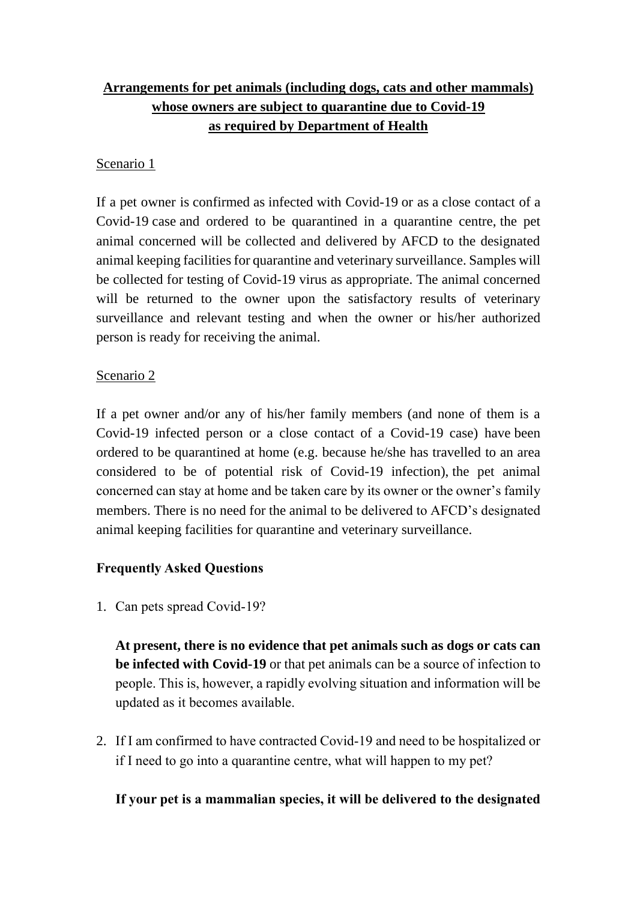# **Arrangements for pet animals (including dogs, cats and other mammals) whose owners are subject to quarantine due to Covid-19 as required by Department of Health**

# Scenario 1

If a pet owner is confirmed as infected with Covid-19 or as a close contact of a Covid-19 case and ordered to be quarantined in a quarantine centre, the pet animal concerned will be collected and delivered by AFCD to the designated animal keeping facilities for quarantine and veterinary surveillance. Samples will be collected for testing of Covid-19 virus as appropriate. The animal concerned will be returned to the owner upon the satisfactory results of veterinary surveillance and relevant testing and when the owner or his/her authorized person is ready for receiving the animal.

### Scenario 2

If a pet owner and/or any of his/her family members (and none of them is a Covid-19 infected person or a close contact of a Covid-19 case) have been ordered to be quarantined at home (e.g. because he/she has travelled to an area considered to be of potential risk of Covid-19 infection), the pet animal concerned can stay at home and be taken care by its owner or the owner's family members. There is no need for the animal to be delivered to AFCD's designated animal keeping facilities for quarantine and veterinary surveillance.

# **Frequently Asked Questions**

1. Can pets spread Covid-19?

**At present, there is no evidence that pet animals such as dogs or cats can be infected with Covid-19** or that pet animals can be a source of infection to people. This is, however, a rapidly evolving situation and information will be updated as it becomes available.

2. If I am confirmed to have contracted Covid-19 and need to be hospitalized or if I need to go into a quarantine centre, what will happen to my pet?

# **If your pet is a mammalian species, it will be delivered to the designated**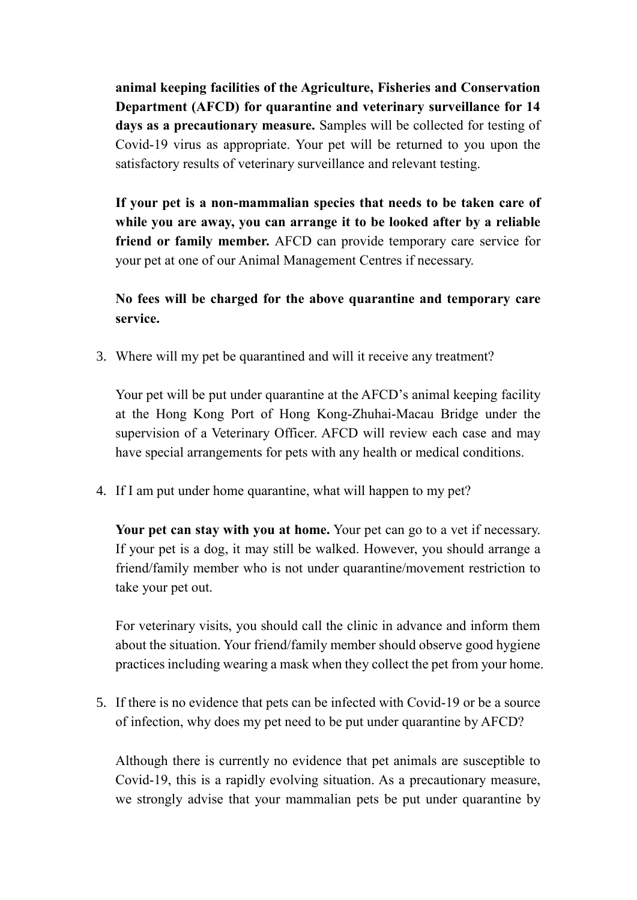**animal keeping facilities of the Agriculture, Fisheries and Conservation Department (AFCD) for quarantine and veterinary surveillance for 14 days as a precautionary measure.** Samples will be collected for testing of Covid-19 virus as appropriate. Your pet will be returned to you upon the satisfactory results of veterinary surveillance and relevant testing.

**If your pet is a non-mammalian species that needs to be taken care of while you are away, you can arrange it to be looked after by a reliable friend or family member.** AFCD can provide temporary care service for your pet at one of our Animal Management Centres if necessary.

**No fees will be charged for the above quarantine and temporary care service.** 

3. Where will my pet be quarantined and will it receive any treatment?

Your pet will be put under quarantine at the AFCD's animal keeping facility at the Hong Kong Port of Hong Kong-Zhuhai-Macau Bridge under the supervision of a Veterinary Officer. AFCD will review each case and may have special arrangements for pets with any health or medical conditions.

4. If I am put under home quarantine, what will happen to my pet?

**Your pet can stay with you at home.** Your pet can go to a vet if necessary. If your pet is a dog, it may still be walked. However, you should arrange a friend/family member who is not under quarantine/movement restriction to take your pet out.

For veterinary visits, you should call the clinic in advance and inform them about the situation. Your friend/family member should observe good hygiene practices including wearing a mask when they collect the pet from your home.

5. If there is no evidence that pets can be infected with Covid-19 or be a source of infection, why does my pet need to be put under quarantine by AFCD?

Although there is currently no evidence that pet animals are susceptible to Covid-19, this is a rapidly evolving situation. As a precautionary measure, we strongly advise that your mammalian pets be put under quarantine by